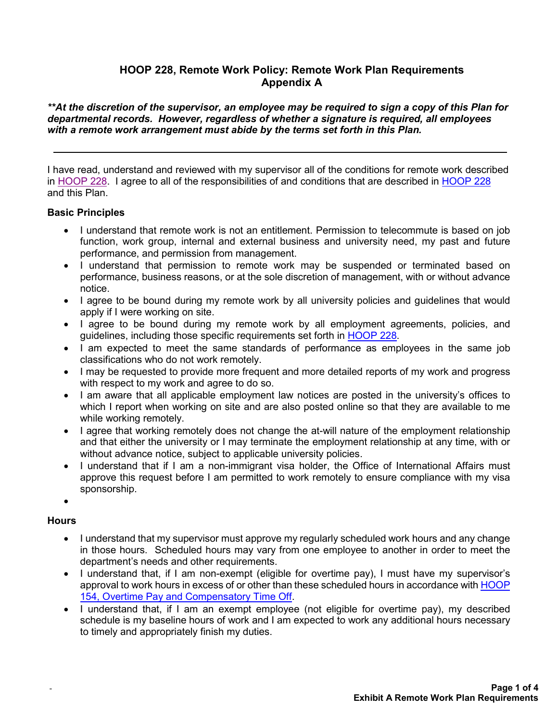# **HOOP 228, Remote Work Policy: Remote Work Plan Requirements Appendix A**

*\*\*At the discretion of the supervisor, an employee may be required to sign a copy of this Plan for departmental records. However, regardless of whether a signature is required, all employees with a remote work arrangement must abide by the terms set forth in this Plan.*

I have read, understand and reviewed with my supervisor all of the conditions for remote work described in [HOOP 228.](https://www.uth.edu/hoop/policy.htm?id=168bfe2b-ea6f-42d3-9855-c49f1fc11951) I agree to all of the responsibilities of and conditions that are described in [HOOP 228](https://www.uth.edu/hoop/policy.htm?id=168bfe2b-ea6f-42d3-9855-c49f1fc11951) and this Plan.

### **Basic Principles**

- I understand that remote work is not an entitlement. Permission to telecommute is based on job function, work group, internal and external business and university need, my past and future performance, and permission from management.
- I understand that permission to remote work may be suspended or terminated based on performance, business reasons, or at the sole discretion of management, with or without advance notice.
- I agree to be bound during my remote work by all university policies and guidelines that would apply if I were working on site.
- I agree to be bound during my remote work by all employment agreements, policies, and guidelines, including those specific requirements set forth in [HOOP](https://www.uth.edu/hoop/policy.htm?id=168bfe2b-ea6f-42d3-9855-c49f1fc11951) 228.
- I am expected to meet the same standards of performance as employees in the same job classifications who do not work remotely.
- I may be requested to provide more frequent and more detailed reports of my work and progress with respect to my work and agree to do so.
- I am aware that all applicable employment law notices are posted in the university's offices to which I report when working on site and are also posted online so that they are available to me while working remotely.
- I agree that working remotely does not change the at-will nature of the employment relationship and that either the university or I may terminate the employment relationship at any time, with or without advance notice, subject to applicable university policies.
- I understand that if I am a non-immigrant visa holder, the Office of International Affairs must approve this request before I am permitted to work remotely to ensure compliance with my visa sponsorship.
- •

### **Hours**

-

- I understand that my supervisor must approve my regularly scheduled work hours and any change in those hours. Scheduled hours may vary from one employee to another in order to meet the department's needs and other requirements.
- I understand that, if I am non-exempt (eligible for overtime pay), I must have my supervisor's approval to work hours in excess of or other than these scheduled hours in accordance wit[h HOOP](https://www.uth.edu/hoop/policy.htm?id=1448156)  [154, Overtime Pay and Compensatory Time Off.](https://www.uth.edu/hoop/policy.htm?id=1448156)
- I understand that, if I am an exempt employee (not eligible for overtime pay), my described schedule is my baseline hours of work and I am expected to work any additional hours necessary to timely and appropriately finish my duties.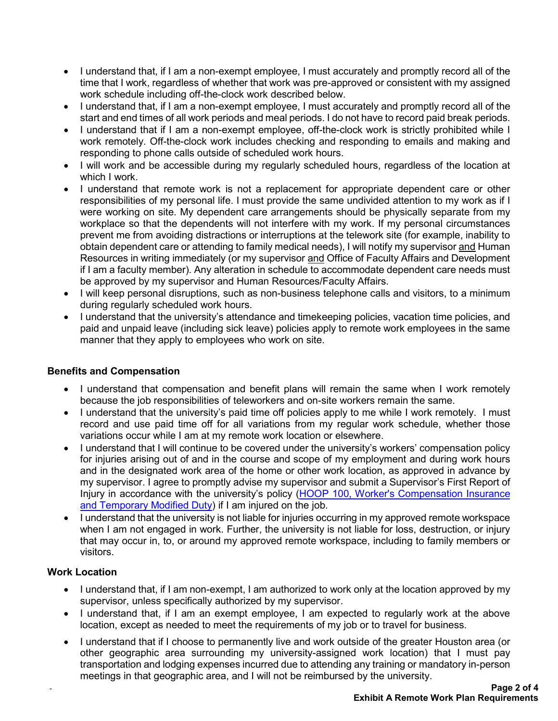- I understand that, if I am a non-exempt employee, I must accurately and promptly record all of the time that I work, regardless of whether that work was pre-approved or consistent with my assigned work schedule including off-the-clock work described below.
- I understand that, if I am a non-exempt employee, I must accurately and promptly record all of the start and end times of all work periods and meal periods. I do not have to record paid break periods.
- I understand that if I am a non-exempt employee, off-the-clock work is strictly prohibited while I work remotely. Off-the-clock work includes checking and responding to emails and making and responding to phone calls outside of scheduled work hours.
- I will work and be accessible during my regularly scheduled hours, regardless of the location at which I work.
- I understand that remote work is not a replacement for appropriate dependent care or other responsibilities of my personal life. I must provide the same undivided attention to my work as if I were working on site. My dependent care arrangements should be physically separate from my workplace so that the dependents will not interfere with my work. If my personal circumstances prevent me from avoiding distractions or interruptions at the telework site (for example, inability to obtain dependent care or attending to family medical needs), I will notify my supervisor and Human Resources in writing immediately (or my supervisor and Office of Faculty Affairs and Development if I am a faculty member). Any alteration in schedule to accommodate dependent care needs must be approved by my supervisor and Human Resources/Faculty Affairs.
- I will keep personal disruptions, such as non-business telephone calls and visitors, to a minimum during regularly scheduled work hours.
- I understand that the university's attendance and timekeeping policies, vacation time policies, and paid and unpaid leave (including sick leave) policies apply to remote work employees in the same manner that they apply to employees who work on site.

# **Benefits and Compensation**

- I understand that compensation and benefit plans will remain the same when I work remotely because the job responsibilities of teleworkers and on-site workers remain the same.
- I understand that the university's paid time off policies apply to me while I work remotely. I must record and use paid time off for all variations from my regular work schedule, whether those variations occur while I am at my remote work location or elsewhere.
- I understand that I will continue to be covered under the university's workers' compensation policy for injuries arising out of and in the course and scope of my employment and during work hours and in the designated work area of the home or other work location, as approved in advance by my supervisor. I agree to promptly advise my supervisor and submit a Supervisor's First Report of Injury in accordance with the university's policy [\(HOOP 100, Worker's Compensation Insurance](https://www.uth.edu/hoop/policy.htm?id=1448048)  [and Temporary Modified Duty\)](https://www.uth.edu/hoop/policy.htm?id=1448048) if I am injured on the job.
- I understand that the university is not liable for injuries occurring in my approved remote workspace when I am not engaged in work. Further, the university is not liable for loss, destruction, or injury that may occur in, to, or around my approved remote workspace, including to family members or visitors.

### **Work Location**

-

- I understand that, if I am non-exempt, I am authorized to work only at the location approved by my supervisor, unless specifically authorized by my supervisor.
- I understand that, if I am an exempt employee, I am expected to regularly work at the above location, except as needed to meet the requirements of my job or to travel for business.
- I understand that if I choose to permanently live and work outside of the greater Houston area (or other geographic area surrounding my university-assigned work location) that I must pay transportation and lodging expenses incurred due to attending any training or mandatory in-person meetings in that geographic area, and I will not be reimbursed by the university.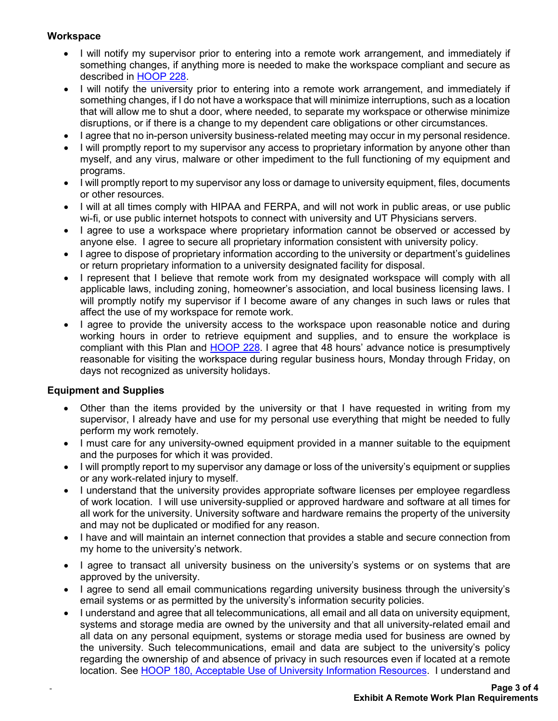## **Workspace**

- I will notify my supervisor prior to entering into a remote work arrangement, and immediately if something changes, if anything more is needed to make the workspace compliant and secure as described in [HOOP 228.](https://www.uth.edu/hoop/policy.htm?id=168bfe2b-ea6f-42d3-9855-c49f1fc11951)
- I will notify the university prior to entering into a remote work arrangement, and immediately if something changes, if I do not have a workspace that will minimize interruptions, such as a location that will allow me to shut a door, where needed, to separate my workspace or otherwise minimize disruptions, or if there is a change to my dependent care obligations or other circumstances.
- I agree that no in-person university business-related meeting may occur in my personal residence.
- I will promptly report to my supervisor any access to proprietary information by anyone other than myself, and any virus, malware or other impediment to the full functioning of my equipment and programs.
- I will promptly report to my supervisor any loss or damage to university equipment, files, documents or other resources.
- I will at all times comply with HIPAA and FERPA, and will not work in public areas, or use public wi-fi, or use public internet hotspots to connect with university and UT Physicians servers.
- I agree to use a workspace where proprietary information cannot be observed or accessed by anyone else. I agree to secure all proprietary information consistent with university policy.
- I agree to dispose of proprietary information according to the university or department's guidelines or return proprietary information to a university designated facility for disposal.
- I represent that I believe that remote work from my designated workspace will comply with all applicable laws, including zoning, homeowner's association, and local business licensing laws. I will promptly notify my supervisor if I become aware of any changes in such laws or rules that affect the use of my workspace for remote work.
- I agree to provide the university access to the workspace upon reasonable notice and during working hours in order to retrieve equipment and supplies, and to ensure the workplace is compliant with this Plan and [HOOP 228.](https://www.uth.edu/hoop/policy.htm?id=168bfe2b-ea6f-42d3-9855-c49f1fc11951) I agree that 48 hours' advance notice is presumptively reasonable for visiting the workspace during regular business hours, Monday through Friday, on days not recognized as university holidays.

### **Equipment and Supplies**

-

- Other than the items provided by the university or that I have requested in writing from my supervisor, I already have and use for my personal use everything that might be needed to fully perform my work remotely.
- I must care for any university-owned equipment provided in a manner suitable to the equipment and the purposes for which it was provided.
- I will promptly report to my supervisor any damage or loss of the university's equipment or supplies or any work-related injury to myself.
- I understand that the university provides appropriate software licenses per employee regardless of work location. I will use university-supplied or approved hardware and software at all times for all work for the university. University software and hardware remains the property of the university and may not be duplicated or modified for any reason.
- I have and will maintain an internet connection that provides a stable and secure connection from my home to the university's network.
- I agree to transact all university business on the university's systems or on systems that are approved by the university.
- I agree to send all email communications regarding university business through the university's email systems or as permitted by the university's information security policies.
- I understand and agree that all telecommunications, all email and all data on university equipment, systems and storage media are owned by the university and that all university-related email and all data on any personal equipment, systems or storage media used for business are owned by the university. Such telecommunications, email and data are subject to the university's policy regarding the ownership of and absence of privacy in such resources even if located at a remote location. See [HOOP 180, Acceptable Use of University Information Resources.](https://www.uth.edu/hoop/policy.htm?id=1448208) I understand and